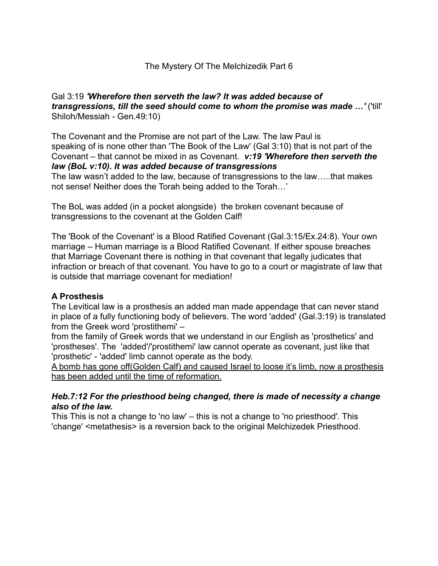### Gal 3:19 *'Wherefore then serveth the law? It was added because of transgressions, till the seed should come to whom the promise was made …'* ('till' Shiloh/Messiah - Gen.49:10)

The Covenant and the Promise are not part of the Law. The law Paul is speaking of is none other than 'The Book of the Law' (Gal 3:10) that is not part of the Covenant – that cannot be mixed in as Covenant. *v:19 'Wherefore then serveth the law (BoL v:10). It was added because of transgressions*

The law wasn't added to the law, because of transgressions to the law…..that makes not sense! Neither does the Torah being added to the Torah…'

The BoL was added (in a pocket alongside) the broken covenant because of transgressions to the covenant at the Golden Calf!

The 'Book of the Covenant' is a Blood Ratified Covenant (Gal.3:15/Ex.24:8). Your own marriage – Human marriage is a Blood Ratified Covenant. If either spouse breaches that Marriage Covenant there is nothing in that covenant that legally judicates that infraction or breach of that covenant. You have to go to a court or magistrate of law that is outside that marriage covenant for mediation!

## **A Prosthesis**

The Levitical law is a prosthesis an added man made appendage that can never stand in place of a fully functioning body of believers. The word 'added' (Gal.3:19) is translated from the Greek word 'prostithemi' –

from the family of Greek words that we understand in our English as 'prosthetics' and 'prostheses'. The 'added'/'prostithemi' law cannot operate as covenant, just like that 'prosthetic' - 'added' limb cannot operate as the body.

A bomb has gone off(Golden Calf) and caused Israel to loose it's limb, now a prosthesis has been added until the time of reformation.

#### *Heb.7:12 For the priesthood being changed, there is made of necessity a change also of the law.*

This This is not a change to 'no law' – this is not a change to 'no priesthood'. This 'change' <metathesis> is a reversion back to the original Melchizedek Priesthood.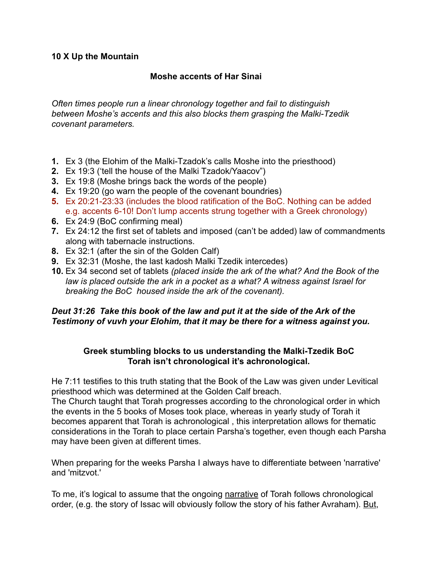#### **10 X Up the Mountain**

### **Moshe accents of Har Sinai**

*Often times people run a linear chronology together and fail to distinguish between Moshe's accents and this also blocks them grasping the Malki-Tzedik covenant parameters.* 

- **1.** Ex 3 (the Elohim of the Malki-Tzadok's calls Moshe into the priesthood)
- **2.** Ex 19:3 ('tell the house of the Malki Tzadok/Yaacov")
- **3.** Ex 19:8 (Moshe brings back the words of the people)
- **4.** Ex 19:20 (go warn the people of the covenant boundries)
- **5.** Ex 20:21-23:33 (includes the blood ratification of the BoC. Nothing can be added e.g. accents 6-10! Don't lump accents strung together with a Greek chronology)
- **6.** Ex 24:9 (BoC confirming meal)
- **7.** Ex 24:12 the first set of tablets and imposed (can't be added) law of commandments along with tabernacle instructions.
- **8.** Ex 32:1 (after the sin of the Golden Calf)
- **9.** Ex 32:31 (Moshe, the last kadosh Malki Tzedik intercedes)
- **10.** Ex 34 second set of tablets *(placed inside the ark of the what? And the Book of the law is placed outside the ark in a pocket as a what? A witness against Israel for breaking the BoC housed inside the ark of the covenant).*

## *Deut 31:26 Take this book of the law and put it at the side of the Ark of the Testimony of vuvh your Elohim, that it may be there for a witness against you.*

#### **Greek stumbling blocks to us understanding the Malki-Tzedik BoC Torah isn't chronological it's achronological.**

He 7:11 testifies to this truth stating that the Book of the Law was given under Levitical priesthood which was determined at the Golden Calf breach.

The Church taught that Torah progresses according to the chronological order in which the events in the 5 books of Moses took place, whereas in yearly study of Torah it becomes apparent that Torah is achronological , this interpretation allows for thematic considerations in the Torah to place certain Parsha's together, even though each Parsha may have been given at different times.

When preparing for the weeks Parsha I always have to differentiate between 'narrative' and 'mitzvot.'

To me, it's logical to assume that the ongoing narrative of Torah follows chronological order, (e.g. the story of Issac will obviously follow the story of his father Avraham). But,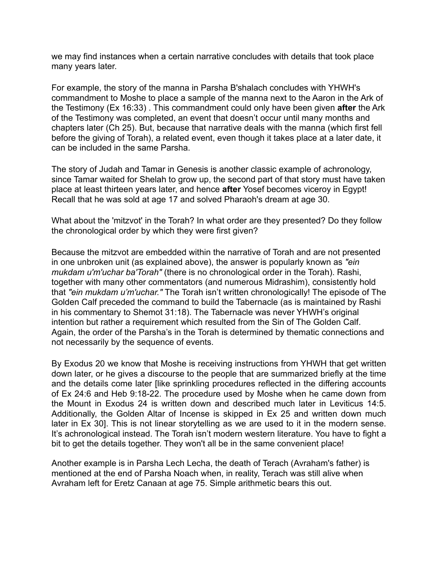we may find instances when a certain narrative concludes with details that took place many years later.

For example, the story of the manna in Parsha B'shalach concludes with YHWH's commandment to Moshe to place a sample of the manna next to the Aaron in the Ark of the Testimony (Ex 16:33) . This commandment could only have been given **after** the Ark of the Testimony was completed, an event that doesn't occur until many months and chapters later (Ch 25). But, because that narrative deals with the manna (which first fell before the giving of Torah), a related event, even though it takes place at a later date, it can be included in the same Parsha.

The story of Judah and Tamar in Genesis is another classic example of achronology, since Tamar waited for Shelah to grow up, the second part of that story must have taken place at least thirteen years later, and hence **after** Yosef becomes viceroy in Egypt! Recall that he was sold at age 17 and solved Pharaoh's dream at age 30.

What about the 'mitzvot' in the Torah? In what order are they presented? Do they follow the chronological order by which they were first given?

Because the mitzvot are embedded within the narrative of Torah and are not presented in one unbroken unit (as explained above), the answer is popularly known as *"ein mukdam u'm'uchar ba'Torah"* (there is no chronological order in the Torah). Rashi, together with many other commentators (and numerous Midrashim), consistently hold that *"ein mukdam u'm'uchar."* The Torah isn't written chronologically! The episode of The Golden Calf preceded the command to build the Tabernacle (as is maintained by Rashi in his commentary to Shemot 31:18). The Tabernacle was never YHWH's original intention but rather a requirement which resulted from the Sin of The Golden Calf. Again, the order of the Parsha's in the Torah is determined by thematic connections and not necessarily by the sequence of events.

By Exodus 20 we know that Moshe is receiving instructions from YHWH that get written down later, or he gives a discourse to the people that are summarized briefly at the time and the details come later [like sprinkling procedures reflected in the differing accounts of Ex 24:6 and Heb 9:18-22. The procedure used by Moshe when he came down from the Mount in Exodus 24 is written down and described much later in Leviticus 14:5. Additionally, the Golden Altar of Incense is skipped in Ex 25 and written down much later in Ex 30]. This is not linear storytelling as we are used to it in the modern sense. It's achronological instead. The Torah isn't modern western literature. You have to fight a bit to get the details together. They won't all be in the same convenient place!

Another example is in Parsha Lech Lecha, the death of Terach (Avraham's father) is mentioned at the end of Parsha Noach when, in reality, Terach was still alive when Avraham left for Eretz Canaan at age 75. Simple arithmetic bears this out.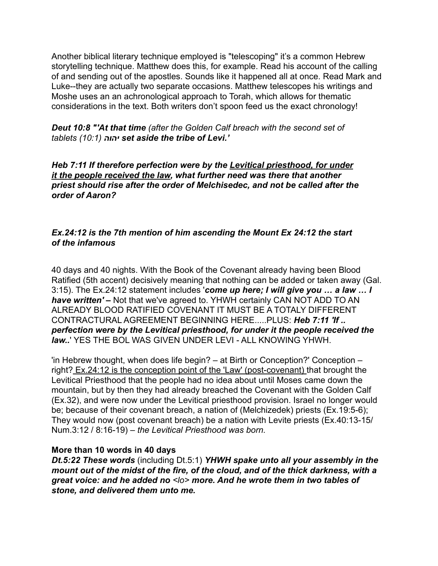Another biblical literary technique employed is "telescoping" it's a common Hebrew storytelling technique. Matthew does this, for example. Read his account of the calling of and sending out of the apostles. Sounds like it happened all at once. Read Mark and Luke--they are actually two separate occasions. Matthew telescopes his writings and Moshe uses an an achronological approach to Torah, which allows for thematic considerations in the text. Both writers don't spoon feed us the exact chronology!

*Deut 10:8 "'At that time (after the Golden Calf breach with the second set of tablets (10:1) יהוה set aside the tribe of Levi.'*

*Heb 7:11 If therefore perfection were by the Levitical priesthood, for under it the people received the law, what further need was there that another priest should rise after the order of Melchisedec, and not be called after the order of Aaron?*

### *Ex.24:12 is the 7th mention of him ascending the Mount Ex 24:12 the start of the infamous*

40 days and 40 nights. With the Book of the Covenant already having been Blood Ratified (5th accent) decisively meaning that nothing can be added or taken away (Gal. 3:15). The Ex.24:12 statement includes '*come up here; I will give you … a law … I have written' –* Not that we've agreed to. YHWH certainly CAN NOT ADD TO AN ALREADY BLOOD RATIFIED COVENANT IT MUST BE A TOTALY DIFFERENT CONTRACTURAL AGREEMENT BEGINNING HERE.....PLUS: *Heb 7:11 'If .. perfection were by the Levitical priesthood, for under it the people received the law..*' YES THE BOL WAS GIVEN UNDER LEVI - ALL KNOWING YHWH.

'in Hebrew thought, when does life begin? – at Birth or Conception?' Conception – right? Ex.24:12 is the conception point of the 'Law' (post-covenant) that brought the Levitical Priesthood that the people had no idea about until Moses came down the mountain, but by then they had already breached the Covenant with the Golden Calf (Ex.32), and were now under the Levitical priesthood provision. Israel no longer would be; because of their covenant breach, a nation of (Melchizedek) priests (Ex.19:5-6); They would now (post covenant breach) be a nation with Levite priests (Ex.40:13-15/ Num.3:12 / 8:16-19) *– the Levitical Priesthood was born.* 

#### **More than 10 words in 40 days**

*Dt.5:22 These words* (including Dt.5:1) *YHWH spake unto all your assembly in the mount out of the midst of the fire, of the cloud, and of the thick darkness, with a great voice: and he added no <lo> more. And he wrote them in two tables of stone, and delivered them unto me.*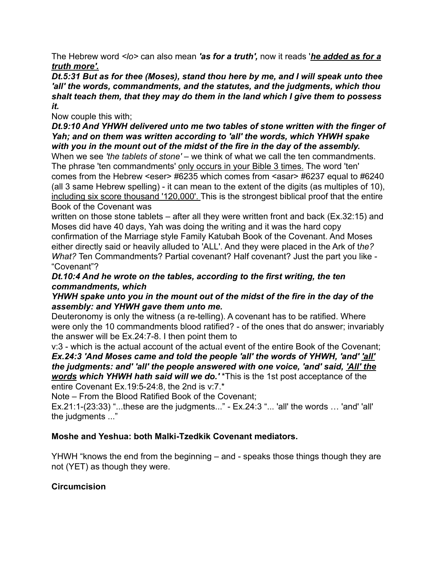The Hebrew word *<lo>* can also mean *'as for a truth',* now it reads '*he added as for a truth more'.* 

*Dt.5:31 But as for thee (Moses), stand thou here by me, and I will speak unto thee 'all' the words, commandments, and the statutes, and the judgments, which thou shalt teach them, that they may do them in the land which I give them to possess it.* 

Now couple this with;

*Dt.9:10 And YHWH delivered unto me two tables of stone written with the finger of Yah; and on them was written according to 'all' the words, which YHWH spake with you in the mount out of the midst of the fire in the day of the assembly.* 

When we see 'the tablets of stone' – we think of what we call the ten commandments. The phrase 'ten commandments' only occurs in your Bible 3 times. The word 'ten' comes from the Hebrew <eser> #6235 which comes from <asar> #6237 equal to #6240 (all 3 same Hebrew spelling) - it can mean to the extent of the digits (as multiples of 10), including six score thousand '120,000'. This is the strongest biblical proof that the entire Book of the Covenant was

written on those stone tablets – after all they were written front and back (Ex.32:15) and Moses did have 40 days, Yah was doing the writing and it was the hard copy confirmation of the Marriage style Family Katubah Book of the Covenant. And Moses either directly said or heavily alluded to 'ALL'. And they were placed in the Ark of t*he? What?* Ten Commandments? Partial covenant? Half covenant? Just the part you like - "Covenant"?

*Dt.10:4 And he wrote on the tables, according to the first writing, the ten commandments, which* 

*YHWH spake unto you in the mount out of the midst of the fire in the day of the assembly: and YHWH gave them unto me.* 

Deuteronomy is only the witness (a re-telling). A covenant has to be ratified. Where were only the 10 commandments blood ratified? - of the ones that do answer; invariably the answer will be Ex.24:7-8. I then point them to

v:3 - which is the actual account of the actual event of the entire Book of the Covenant; *Ex.24:3 'And Moses came and told the people 'all' the words of YHWH, 'and' 'all' the judgments: and' 'all' the people answered with one voice, 'and' said, 'All' the words which YHWH hath said will we do.'* \*This is the 1st post acceptance of the entire Covenant Ex.19:5-24:8, the 2nd is v:7.\*

Note – From the Blood Ratified Book of the Covenant;

Ex.21:1-(23:33) "...these are the judgments..." - Ex.24:3 "... 'all' the words … 'and' 'all' the judgments ..."

# **Moshe and Yeshua: both Malki-Tzedkik Covenant mediators.**

YHWH "knows the end from the beginning – and - speaks those things though they are not (YET) as though they were.

# **Circumcision**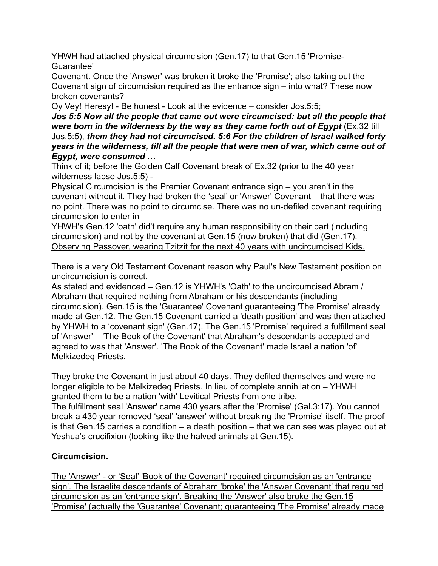YHWH had attached physical circumcision (Gen.17) to that Gen.15 'Promise-Guarantee'

Covenant. Once the 'Answer' was broken it broke the 'Promise'; also taking out the Covenant sign of circumcision required as the entrance sign – into what? These now broken covenants?

Oy Vey! Heresy! - Be honest - Look at the evidence – consider Jos.5:5;

*Jos 5:5 Now all the people that came out were circumcised: but all the people that were born in the wilderness by the way as they came forth out of Egypt* (Ex.32 till Jos.5:5), *them they had not circumcised. 5:6 For the children of Israel walked forty years in the wilderness, till all the people that were men of war, which came out of Egypt, were consumed* …

Think of it; before the Golden Calf Covenant break of Ex.32 (prior to the 40 year wilderness lapse Jos.5:5) -

Physical Circumcision is the Premier Covenant entrance sign – you aren't in the covenant without it. They had broken the 'seal' or 'Answer' Covenant – that there was no point. There was no point to circumcise. There was no un-defiled covenant requiring circumcision to enter in

YHWH's Gen.12 'oath' did't require any human responsibility on their part (including circumcision) and not by the covenant at Gen.15 (now broken) that did (Gen.17). Observing Passover, wearing Tzitzit for the next 40 years with uncircumcised Kids.

There is a very Old Testament Covenant reason why Paul's New Testament position on uncircumcision is correct.

As stated and evidenced – Gen.12 is YHWH's 'Oath' to the uncircumcised Abram / Abraham that required nothing from Abraham or his descendants (including circumcision). Gen.15 is the 'Guarantee' Covenant guaranteeing 'The Promise' already made at Gen.12. The Gen.15 Covenant carried a 'death position' and was then attached by YHWH to a 'covenant sign' (Gen.17). The Gen.15 'Promise' required a fulfillment seal of 'Answer' – 'The Book of the Covenant' that Abraham's descendants accepted and agreed to was that 'Answer'. 'The Book of the Covenant' made Israel a nation 'of' Melkizedeq Priests.

They broke the Covenant in just about 40 days. They defiled themselves and were no longer eligible to be Melkizedeq Priests. In lieu of complete annihilation – YHWH granted them to be a nation 'with' Levitical Priests from one tribe.

The fulfillment seal 'Answer' came 430 years after the 'Promise' (Gal.3:17). You cannot break a 430 year removed 'seal' 'answer' without breaking the 'Promise' itself. The proof is that Gen.15 carries a condition – a death position – that we can see was played out at Yeshua's crucifixion (looking like the halved animals at Gen.15).

## **Circumcision.**

The 'Answer' - or 'Seal' 'Book of the Covenant' required circumcision as an 'entrance sign'. The Israelite descendants of Abraham 'broke' the 'Answer Covenant' that required circumcision as an 'entrance sign'. Breaking the 'Answer' also broke the Gen.15 'Promise' (actually the 'Guarantee' Covenant; guaranteeing 'The Promise' already made